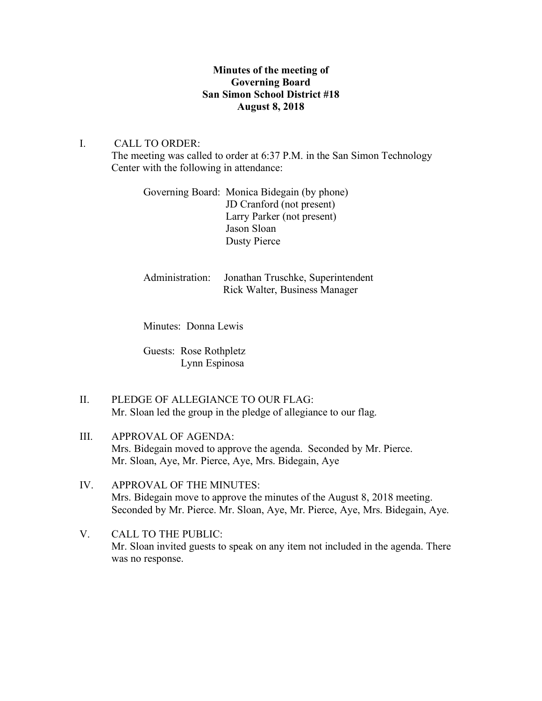# **Minutes of the meeting of Governing Board San Simon School District #18 August 8, 2018**

## I. CALL TO ORDER:

The meeting was called to order at 6:37 P.M. in the San Simon Technology Center with the following in attendance:

|  | Governing Board: Monica Bidegain (by phone) |
|--|---------------------------------------------|
|  | JD Cranford (not present)                   |
|  | Larry Parker (not present)                  |
|  | Jason Sloan                                 |
|  | Dusty Pierce                                |

| Administration: Jonathan Truschke, Superintendent |
|---------------------------------------------------|
| <b>Rick Walter, Business Manager</b>              |

Minutes: Donna Lewis

Guests: Rose Rothpletz Lynn Espinosa

- II. PLEDGE OF ALLEGIANCE TO OUR FLAG: Mr. Sloan led the group in the pledge of allegiance to our flag.
- III. APPROVAL OF AGENDA: Mrs. Bidegain moved to approve the agenda. Seconded by Mr. Pierce. Mr. Sloan, Aye, Mr. Pierce, Aye, Mrs. Bidegain, Aye
- IV. APPROVAL OF THE MINUTES: Mrs. Bidegain move to approve the minutes of the August 8, 2018 meeting. Seconded by Mr. Pierce. Mr. Sloan, Aye, Mr. Pierce, Aye, Mrs. Bidegain, Aye.
- V. CALL TO THE PUBLIC: Mr. Sloan invited guests to speak on any item not included in the agenda. There was no response.